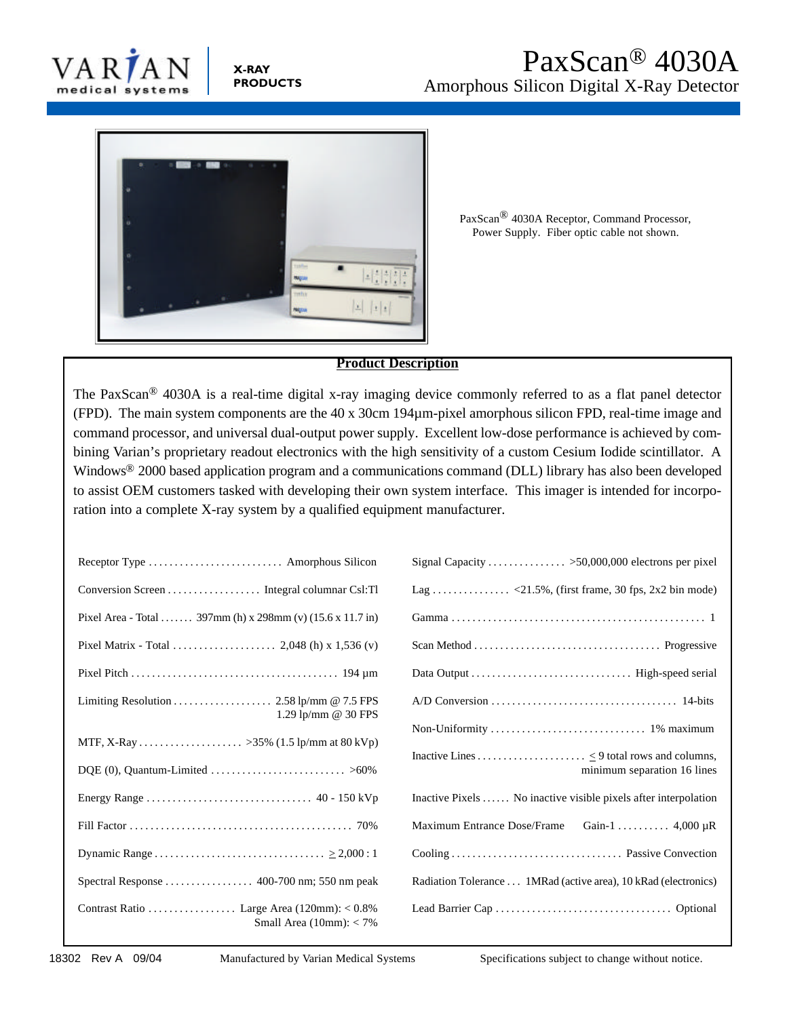

**X-RAY PRODUCTS**



PaxScan® 4030A Receptor, Command Processor, Power Supply. Fiber optic cable not shown.

### **Product Description**

The PaxScan® 4030A is a real-time digital x-ray imaging device commonly referred to as a flat panel detector (FPD). The main system components are the 40 x 30cm 194µm-pixel amorphous silicon FPD, real-time image and command processor, and universal dual-output power supply. Excellent low-dose performance is achieved by combining Varian's proprietary readout electronics with the high sensitivity of a custom Cesium Iodide scintillator. A Windows® 2000 based application program and a communications command (DLL) library has also been developed to assist OEM customers tasked with developing their own system interface. This imager is intended for incorporation into a complete X-ray system by a qualified equipment manufacturer.

| Pixel Area - Total  397mm (h) x 298mm (v) (15.6 x 11.7 in)       |  |
|------------------------------------------------------------------|--|
|                                                                  |  |
|                                                                  |  |
| Limiting Resolution  2.58 lp/mm @ 7.5 FPS<br>1.29 lp/mm @ 30 FPS |  |
|                                                                  |  |
|                                                                  |  |
|                                                                  |  |
|                                                                  |  |
|                                                                  |  |
|                                                                  |  |
| Small Area $(10mm): < 7\%$                                       |  |

| Signal Capacity >50,000,000 electrons per pixel                 |
|-----------------------------------------------------------------|
|                                                                 |
|                                                                 |
|                                                                 |
|                                                                 |
|                                                                 |
|                                                                 |
| minimum separation 16 lines                                     |
| Inactive Pixels  No inactive visible pixels after interpolation |
| Maximum Entrance Dose/Frame Gain-1  4,000 µR                    |
|                                                                 |
| Radiation Tolerance  1MRad (active area), 10 kRad (electronics) |
|                                                                 |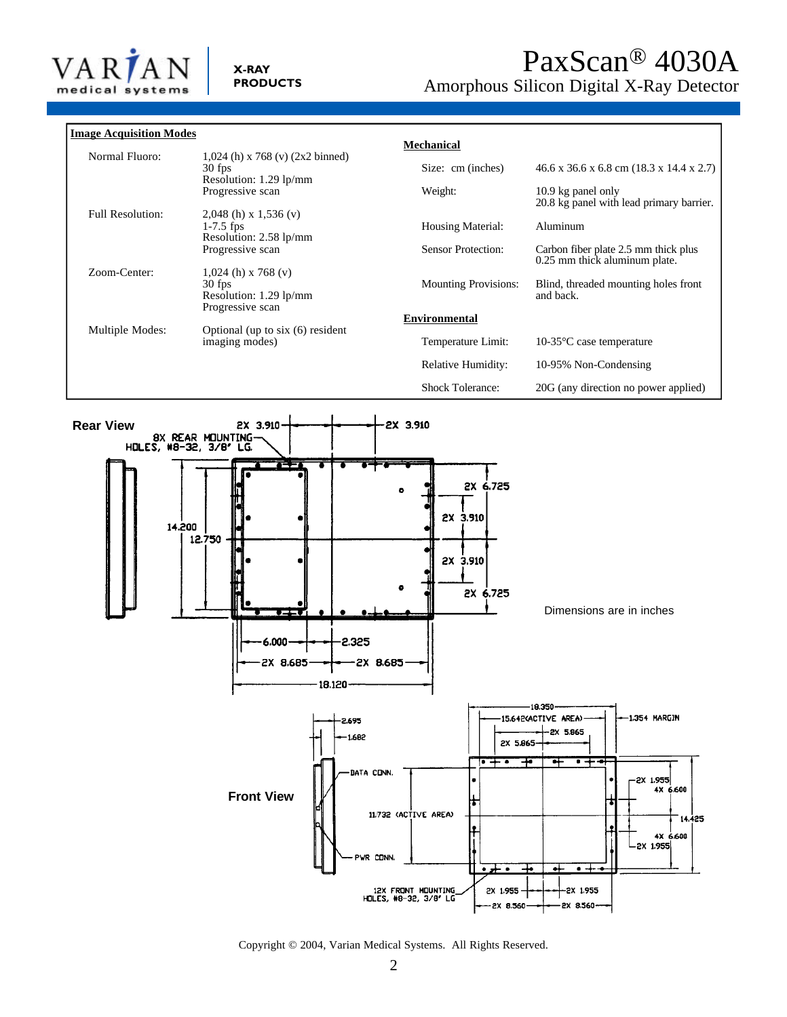

| <b>Image Acquisition Modes</b> |                                                                        |                             |                                                                       |
|--------------------------------|------------------------------------------------------------------------|-----------------------------|-----------------------------------------------------------------------|
|                                |                                                                        | Mechanical                  |                                                                       |
| Normal Fluoro:                 | $1,024$ (h) x 768 (v) (2x2 binned)<br>30 fps<br>Resolution: 1.29 lp/mm | Size: cm (inches)           | $46.6$ x 36.6 x 6.8 cm (18.3 x 14.4 x 2.7)                            |
|                                | Progressive scan                                                       | Weight:                     | 10.9 kg panel only<br>20.8 kg panel with lead primary barrier.        |
| <b>Full Resolution:</b>        | $2,048$ (h) x 1,536 (v)<br>$1-7.5$ fps<br>Resolution: 2.58 lp/mm       | <b>Housing Material:</b>    | Aluminum                                                              |
|                                | Progressive scan                                                       | <b>Sensor Protection:</b>   | Carbon fiber plate 2.5 mm thick plus<br>0.25 mm thick aluminum plate. |
| Zoom-Center:                   | $1,024$ (h) x 768 (v)<br>$30$ fps<br>Resolution: 1.29 lp/mm            | <b>Mounting Provisions:</b> | Blind, threaded mounting holes front<br>and back.                     |
| Multiple Modes:                | Progressive scan<br>Optional (up to $six(6)$ resident                  | <b>Environmental</b>        |                                                                       |
|                                | imaging modes)                                                         | Temperature Limit:          | 10-35 $\degree$ C case temperature                                    |
|                                |                                                                        | Relative Humidity:          | 10-95% Non-Condensing                                                 |
|                                |                                                                        | <b>Shock Tolerance:</b>     | 20G (any direction no power applied)                                  |



#### Copyright © 2004, Varian Medical Systems. All Rights Reserved.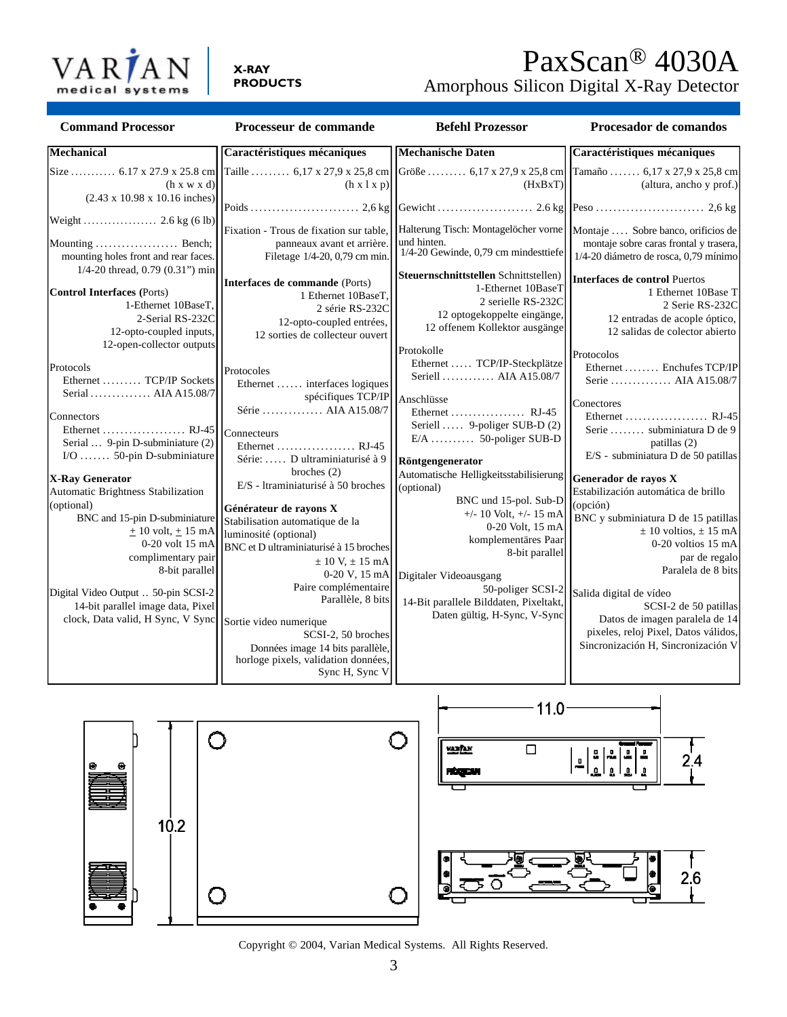

# PaxScan® 4030A

Amorphous Silicon Digital X-Ray Detector

| <b>Command Processor</b>                                                                                                                                                                                                                                                                                                                                                                                                                                                                                                                                                                                                                            | Processeur de commande                                                                                                                                                                                                                                                                                                                                                                                                                                                                                                                | <b>Befehl Prozessor</b>                                                                                                                                                                                                                                                                                                                                                                                                                                                                                                                                                  | Procesador de comandos                                                                                                                                                                                                                                                                                                                                                                                                                                                                                                                                                                                                                    |
|-----------------------------------------------------------------------------------------------------------------------------------------------------------------------------------------------------------------------------------------------------------------------------------------------------------------------------------------------------------------------------------------------------------------------------------------------------------------------------------------------------------------------------------------------------------------------------------------------------------------------------------------------------|---------------------------------------------------------------------------------------------------------------------------------------------------------------------------------------------------------------------------------------------------------------------------------------------------------------------------------------------------------------------------------------------------------------------------------------------------------------------------------------------------------------------------------------|--------------------------------------------------------------------------------------------------------------------------------------------------------------------------------------------------------------------------------------------------------------------------------------------------------------------------------------------------------------------------------------------------------------------------------------------------------------------------------------------------------------------------------------------------------------------------|-------------------------------------------------------------------------------------------------------------------------------------------------------------------------------------------------------------------------------------------------------------------------------------------------------------------------------------------------------------------------------------------------------------------------------------------------------------------------------------------------------------------------------------------------------------------------------------------------------------------------------------------|
| <b>Mechanical</b>                                                                                                                                                                                                                                                                                                                                                                                                                                                                                                                                                                                                                                   | Caractéristiques mécaniques                                                                                                                                                                                                                                                                                                                                                                                                                                                                                                           | <b>Mechanische Daten</b>                                                                                                                                                                                                                                                                                                                                                                                                                                                                                                                                                 | Caractéristiques mécaniques                                                                                                                                                                                                                                                                                                                                                                                                                                                                                                                                                                                                               |
| (h x w x d)                                                                                                                                                                                                                                                                                                                                                                                                                                                                                                                                                                                                                                         | Size  6.17 x 27.9 x 25.8 cm Taille  6.17 x 27.9 x 25.8 cm Größe  6.17 x 27.9 x 25.8 cm Tamaño  6.17 x 27.9 x 25.8 cm<br>$(h \times l \times p)$                                                                                                                                                                                                                                                                                                                                                                                       | (HxBxT)                                                                                                                                                                                                                                                                                                                                                                                                                                                                                                                                                                  |                                                                                                                                                                                                                                                                                                                                                                                                                                                                                                                                                                                                                                           |
| $(2.43 \times 10.98 \times 10.16$ inches)<br>Weight $\dots$ $2.6 \text{ kg} (6 \text{ lb})$<br>Mounting  Bench;<br>mounting holes front and rear faces.<br>1/4-20 thread, 0.79 (0.31") min<br><b>Control Interfaces (Ports)</b><br>1-Ethernet 10BaseT,<br>2-Serial RS-232C<br>12-opto-coupled inputs,<br>12-open-collector outputs<br>Protocols<br>Ethernet  TCP/IP Sockets<br>Serial  AIA A15.08/7<br>Connectors<br>Ethernet  RJ-45<br>Serial  9-pin D-subminiature (2)<br>I/O  50-pin D-subminiature<br><b>X-Ray Generator</b><br>Automatic Brightness Stabilization<br>(optional)<br>BNC and 15-pin D-subminiature<br>$\pm 10$ volt, $\pm 15$ mA | Fixation - Trous de fixation sur table,<br>panneaux avant et arrière.<br>Filetage 1/4-20, 0,79 cm min.<br>Interfaces de commande (Ports)<br>1 Ethernet 10BaseT,<br>2 série RS-232C<br>12-opto-coupled entrées,<br>12 sorties de collecteur ouvert<br>Protocoles<br>Ethernet  interfaces logiques<br>spécifiques TCP/IP<br>Série  AIA A15.08/7<br>Connecteurs<br>Ethernet  RJ-45<br>Série:  D ultraminiaturisé à 9<br>broches $(2)$<br>E/S - Itraminiaturisé à 50 broches<br>Générateur de rayons X<br>Stabilisation automatique de la | Halterung Tisch: Montagelöcher vorne<br>und hinten.<br>1/4-20 Gewinde, 0,79 cm mindesttiefe<br>Steuernschnittstellen Schnittstellen)<br>1-Ethernet 10BaseT<br>2 serielle RS-232C<br>12 optogekoppelte eingänge,<br>12 offenem Kollektor ausgänge<br>Protokolle<br>Ethernet  TCP/IP-Steckplätze<br>Seriell  AIA A15.08/7<br>Anschlüsse<br>Ethernet  RJ-45<br>Seriell  9-poliger SUB-D (2)<br>E/A  50-poliger SUB-D<br>Röntgengenerator<br>Automatische Helligkeitsstabilisierung<br>(optional)<br>BNC und 15-pol. Sub-D<br>$+/- 10$ Volt, $+/- 15$ mA<br>0-20 Volt, 15 mA | (altura, ancho y prof.)<br>Montaje  Sobre banco, orificios de<br>montaje sobre caras frontal y trasera,<br>1/4-20 diámetro de rosca, 0,79 mínimo<br>Interfaces de control Puertos<br>1 Ethernet 10Base T<br>2 Serie RS-232C<br>12 entradas de acople óptico,<br>12 salidas de colector abierto<br>Protocolos<br>Ethernet  Enchufes TCP/IP<br>Serie  AIA A15.08/7<br>Conectores<br>Ethernet  RJ-45<br>Serie  subminiatura D de 9<br>patillas (2)<br>E/S - subminiatura D de 50 patillas<br>Generador de rayos X<br>Estabilización automática de brillo<br>(opción)<br>BNC y subminiatura D de 15 patillas<br>$\pm$ 10 voltios, $\pm$ 15 mA |
| 0-20 volt 15 mA<br>complimentary pair<br>8-bit parallel                                                                                                                                                                                                                                                                                                                                                                                                                                                                                                                                                                                             | luminosité (optional)<br>BNC et D ultraminiaturisé à 15 broches<br>$\pm$ 10 V, $\pm$ 15 mA<br>0-20 V, 15 mA                                                                                                                                                                                                                                                                                                                                                                                                                           | komplementäres Paar<br>8-bit parallel<br>Digitaler Videoausgang                                                                                                                                                                                                                                                                                                                                                                                                                                                                                                          | $0-20$ voltios 15 mA<br>par de regalo<br>Paralela de 8 bits                                                                                                                                                                                                                                                                                                                                                                                                                                                                                                                                                                               |
| Digital Video Output  50-pin SCSI-2<br>14-bit parallel image data, Pixel<br>clock, Data valid, H Sync, V Sync                                                                                                                                                                                                                                                                                                                                                                                                                                                                                                                                       | Paire complémentaire<br>Parallèle, 8 bits<br>Sortie video numerique<br>SCSI-2, 50 broches<br>Données image 14 bits parallèle,<br>horloge pixels, validation données,<br>Sync H, Sync V                                                                                                                                                                                                                                                                                                                                                | 50-poliger SCSI-2<br>14-Bit parallele Bilddaten, Pixeltakt,<br>Daten gültig, H-Sync, V-Sync                                                                                                                                                                                                                                                                                                                                                                                                                                                                              | Salida digital de vídeo<br>SCSI-2 de 50 patillas<br>Datos de imagen paralela de 14<br>pixeles, reloj Pixel, Datos válidos,<br>Sincronización H, Sincronización V                                                                                                                                                                                                                                                                                                                                                                                                                                                                          |



Copyright © 2004, Varian Medical Systems. All Rights Reserved.